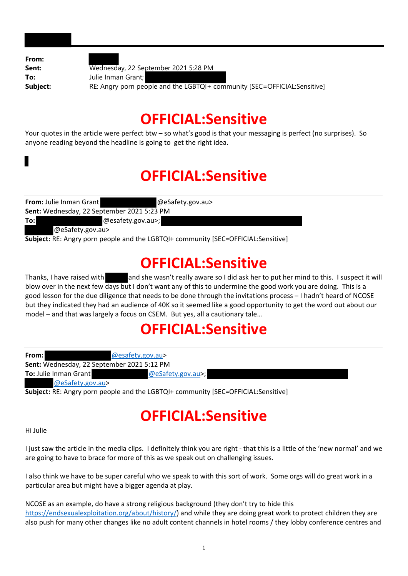**From: Sent:** Wednesday, 22 September 2021 5:28 PM **To:** Julie Inman Grant; **Subject:** RE: Angry porn people and the LGBTQI+ community [SEC=OFFICIAL:Sensitive]

#### **OFFICIAL:Sensitive**

Your quotes in the article were perfect btw – so what's good is that your messaging is perfect (no surprises). So anyone reading beyond the headline is going to get the right idea.

# **OFFICIAL:Sensitive**

| <b>From:</b> Julie Inman Grant             | @eSafety.gov.au>  |
|--------------------------------------------|-------------------|
| Sent: Wednesday, 22 September 2021 5:23 PM |                   |
| To:l                                       | @esafety.gov.au>; |
| $@$ eSafety.gov.au>                        |                   |

**Subject:** RE: Angry porn people and the LGBTQI+ community [SEC=OFFICIAL:Sensitive]

#### **OFFICIAL:Sensitive**

Thanks, I have raised with and she wasn't really aware so I did ask her to put her mind to this. I suspect it will blow over in the next few days but I don't want any of this to undermine the good work you are doing. This is a good lesson for the due diligence that needs to be done through the invitations process – I hadn't heard of NCOSE but they indicated they had an audience of 40K so it seemed like a good opportunity to get the word out about our model – and that was largely a focus on CSEM. But yes, all a cautionary tale…

### **OFFICIAL:Sensitive**

| From:                                             | @esafety.gov.au>  |
|---------------------------------------------------|-------------------|
| <b>Sent:</b> Wednesday, 22 September 2021 5:12 PM |                   |
| <b>To:</b> Julie Inman Grant                      | @eSafety.gov.au>; |
| @eSafety.gov.au>                                  |                   |

**Subject:** RE: Angry porn people and the LGBTQI+ community [SEC=OFFICIAL:Sensitive]

# **OFFICIAL:Sensitive**

Hi Julie

I just saw the article in the media clips. I definitely think you are right ‐ that this is a little of the 'new normal' and we are going to have to brace for more of this as we speak out on challenging issues.

I also think we have to be super careful who we speak to with this sort of work. Some orgs will do great work in a particular area but might have a bigger agenda at play.

NCOSE as an example, do have a strong religious background (they don't try to hide this https://endsexualexploitation.org/about/history/) and while they are doing great work to protect children they are also push for many other changes like no adult content channels in hotel rooms / they lobby conference centres and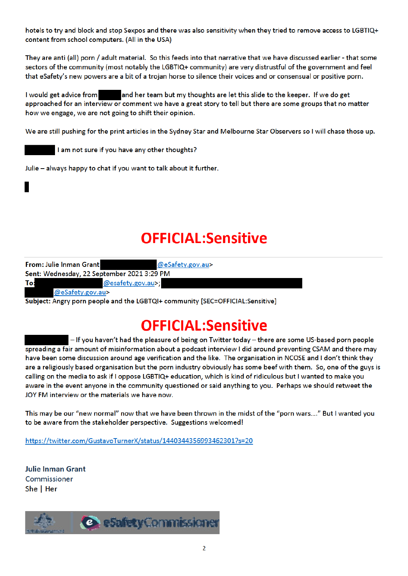hotels to try and block and stop Sexpos and there was also sensitivity when they tried to remove access to LGBTIQ+ content from school computers. (All in the USA)

They are anti (all) porn / adult material. So this feeds into that narrative that we have discussed earlier - that some sectors of the community (most notably the LGBTIQ+ community) are very distrustful of the government and feel that eSafety's new powers are a bit of a trojan horse to silence their voices and or consensual or positive porn.

I would get advice from and her team but my thoughts are let this slide to the keeper. If we do get approached for an interview or comment we have a great story to tell but there are some groups that no matter how we engage, we are not going to shift their opinion.

We are still pushing for the print articles in the Sydney Star and Melbourne Star Observers so I will chase those up.

I am not sure if you have any other thoughts?

Julie - always happy to chat if you want to talk about it further.

# **OFFICIAL:Sensitive**

| From: Julie Inman Grant                    | @eSafety.gov.au>                                                              |  |
|--------------------------------------------|-------------------------------------------------------------------------------|--|
| Sent: Wednesday, 22 September 2021 3:29 PM |                                                                               |  |
| To:                                        | @esafety.gov.au>;                                                             |  |
| @eSafety.gov.au>                           |                                                                               |  |
|                                            | Subject: Angry porn people and the LGBTQI+ community [SEC=OFFICIAL:Sensitive] |  |

# **OFFICIAL:Sensitive**

- If you haven't had the pleasure of being on Twitter today - there are some US-based porn people spreading a fair amount of misinformation about a podcast interview I did around preventing CSAM and there may have been some discussion around age verification and the like. The organisation in NCOSE and I don't think they are a religiously based organisation but the porn industry obviously has some beef with them. So, one of the guys is calling on the media to ask if I oppose LGBTIQ+ education, which is kind of ridiculous but I wanted to make you aware in the event anyone in the community questioned or said anything to you. Perhaps we should retweet the JOY FM interview or the materials we have now.

This may be our "new normal" now that we have been thrown in the midst of the "porn wars...." But I wanted you to be aware from the stakeholder perspective. Suggestions welcomed!

https://twitter.com/GustavoTurnerX/status/1440344356993462301?s=20

**Julie Inman Grant** Commissioner She | Her